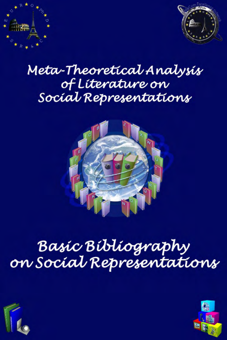



## Meta-Theoretical Analysis of Líterature on Social Representations



# Basíc Bíblíography on Social Representations



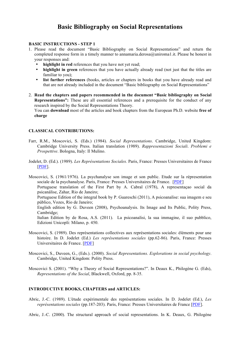### **Basic Bibliography on Social Representations**

#### **BASIC INSTRUCTIONS - STEP 1**

- 1. Please read the document "Basic Bibliography on Social Representations" and return the completed response form in a timely manner to annamaria.derosa@uniroma1.it. Please be honest in your responses and:
	- **highlight in red** references that you have not yet read;
	- **highlight in green** references that you have actually already read (not just that the titles are familiar to you):
	- **list further references** (books, articles or chapters in books that you have already read and that are not already included in the document "Basic bibliography on Social Representations"
- 2. **Read the chapters and papers recommended in the document "Basic bibliography on Social Representations":** These are all essential references and a prerequisite for the conduct of any research inspired by the Social Representations Theory.

You can **download** most of the articles and book chapters from the European Ph.D. website **free of charge**

#### **CLASSICAL CONTRIBUTIONS:**

- Farr, R.M., Moscovici, S. (Eds.) (1984). *Social Representations*. Cambridge, United Kingdom: Cambridge University Press. Italian translation (1989). *Rappresentazioni Sociali*. *Problemi e Prospettive*. Bologna, Italy: Il Mulino.
- Jodelet, D. (Ed.). (1989). *Les Représentations Sociales.* Paris, France: Presses Universitaires de France [PDF].

Moscovici, S. (1961/1976). La psychanalyse son image et son public. Etude sur la répresentation sociale de la psychanalyse. Paris, France: Presses Universitaires de France. [PDF] Portuguese translation of the First Part by A. Cabral (1978), A representaçao social da psicanálise, Zahar, Rio de Janeiro; Portuguese Edition of the integral book by P. Guareschi (2011), A psicoanalise: sua imagem e seu público, Vozes, Rio de Janeiro; English edition by G. Duveen (2008), Psychoanalysis. Its Image and Its Public, Polity Press, Cambridge; Italian Edition by de Rosa, A.S. (2011). La psicoanalisi, la sua immagine, il suo pubblico, Edizioni Unicopli: Milano, p. 450.

- Moscovici, S. (1989). Des représentations collectives aux représentations sociales: éléments pour une histoire. In D. Jodelet (Ed.) *Les représentations sociales* (pp.62-86). Paris, France: Presses Universitaires de France. [PDF]
- Moscovici, S., Duveen, G., (Eds.). (2000). *Social Representations. Explorations in social psychology*. Cambridge, United Kingdom: Polity Press.
- Moscovici S. (2001). "Why a Theory of Social Representations?". In Deaux K., Philogène G. (Eds), *Representations of the Social*, Blackwell, Oxford, pp. 8-35.

#### **INTRODUCTIVE BOOKS, CHAPTERS and ARTICLES:**

Abric, J.-C. (1989). L'étude expérimentale des représentations sociales. In D. Jodelet (Ed.), *Les représentations sociales* (pp.187-203). Paris, France: Presses Universitaires de France [PDF].

Abric, J.-C. (2000). The structural approach of social representations. In K. Deaux, G. Philogène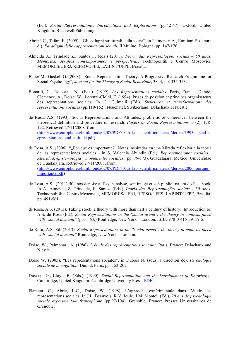(Ed.), *Social Representations: Introductions and Explorations* (pp.42-47). Oxford, United Kingdom: Blackwell Publishing.

- Abric J.C., Tafani E. (2009), "Gli sviluppi strutturali della teoria", in Palmonari A., Emiliani F. (a cura di), *Paradigmi delle rappresentazioni sociali*, Il Mulino, Bologna, pp. 147-176.
- Almeida A., Trindade Z., Santos F. (eds.) (2011). *Teoria das Representações sociais 50 anos. Memórias, desafios contemporâneos e perspectivas*. Technopolitik e Centro Moscovici, MEMORES/UERJ, REPSO/UFES, LABINT/UFPE, Brasilia.
- Bauer M., Gaskell G. (2008), "Social Representation Theory: A Progressive Research Programme for Social Psychology", *Journal for the Theory of Social Behaviour*, 38, 4, pp. 335-353.
- Bonardi, C., Roussiau, N., (Eds.). (1999). *Les Représentations sociales*. Paris, France: Dunod. Clemence, A., Doise, W., Lorenzi-Cioldi, F. (1994). Prises de position et principes organisateurs des representations sociales. In C. Guimelli (Ed.). *Structures et transformations des représentations sociales* (pp.119-152). Neuchâtel, Switzerland: Delachaux et Niestlé.
- de Rosa, A.S. (1993). Social Representations and Attitudes: problems of coherences between the theoretical definition and procedure of research. *Papers on Social Representations,* 3 (2), 178- 192. Retrieved 27/11/2008, from: (http://www.europhd.eu/html/\_onda02/07/PDF/10th\_lab\_scientificmaterial/derosa/1993\_social\_r epresentations and attitude.pdf)
- de Rosa, A.S. (2006). "¿Por qué es importante?" Notas inspiradas en una Mirada reflexiva a la teoria de las representaciones sociales . In S. Valencia Abundiz (Ed.), *Representaciones sociales . Alteridad, epistemologia y movimientos sociales*, (pp. 79-173). Guadalajara, Mexico: Universidad de Guadalajara. Retrieved 27/11/2008, from: (http://www.europhd.eu/html/\_onda02/07/PDF/10th\_lab\_scientificmaterial/derosa/2006\_porque importante.pdf)
- de Rosa, A.S., (2011) 50 anos depois: a 'Psychanalyse, son image et son public' na era do Facebook. In A. Almeida, Z. Trindade, F. Santos (Eds.) *Teoria das Representações sociais - 50 anos*. Technopolitik e Centro Moscovici, MEMORES/UERJ, REPSO/UFES, LABINT/UFPE, Brasilia: pp. 491-561.
- de Rosa, A.S. (2013). Taking stock: a theory with more than half a century of history. Introduction to: A.S. de Rosa (Ed.), *Social Representations in the "social arena": the theory in contexts faced with "social demand"* (pp. 1-63.) Routledge, New York – London. ISBN 978-0-415-59119-5.
- de Rosa, A.S. Ed. (2013), *Social Representations in the "social arena": the theory in contexts faced with "social demand"* Routledge, New York – London.
- Doise, W., Palmonari, A. (1986). *L'étude des représentations sociales.* Paris, France: Delachaux and Niestlé.
- Doise W. (2005), "Les représentations sociales", in Dubois N. (sous la direction de), *Psychologie sociale de la cognition*, Dunod, Paris, pp. 153-207.
- Duveen, G., Lloyd, B. (Eds.). (1990). *Social Representation and the Development of Knowledge*. Cambridge, United Kingdom: Cambridge University Press [PDF].
- Flament, C., Abric, J.-C., Doise, W. (1998). L'approche expérimentale dans l'étude des representations sociales. In J.L. Beauvois, R.V. Joule, J.M. Monteil (Ed.), *20 ans de psychologie sociale experimentale francophone* (pp.97-104). Grenoble, France: Presses Universitaires de Grenoble.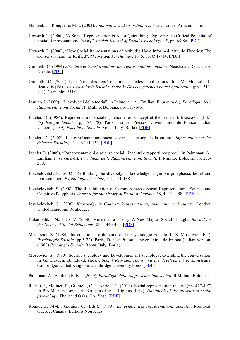Flament, C., Rouquette, M.L. (2003). *Anatomie des idées ordinaires*. Paris, France: Armand Colin.

- Howarth C. (2006), "A Social Representation is Not a Quiet thing. Exploring the Critical Potential of Social Representations Theory", *British Journal of Social Psychology*, 45, pp. 65-86. [PDF]
- Howarth C. (2006), "How Social Representations of Attitudes Have Informed Attitude Theories: The Consensual and the Reified", *Theory and Psychology*, 16, 5, pp. 691-714. [PDF]
- Guimelli, C. (1994) *Structure et transformations des représentations sociales*. Neuchatel: Delacaux et Niestlé. [PDF]
- Guimelli, C. (2001) La théorie des représentations sociales: applications. In J.M. Monteil J.L. Beauvois (Eds.) *La Psychologie Sociale. Tome 5: Des compétences pour l'application (*pp. 1311- 144), Grenoble: P.U.G.
- Jesuino J. (2009), "L'evolversi della teoria", in Palmonari A., Emiliani F. (a cura di), *Paradigmi delle Rappresentazioni Sociali*, Il Mulino, Bologna, pp. 113-146.
- Jodelet, D. (1984). Représentation Sociale: phénomènes, concept et théorie. In S. Moscovici (Ed.), *Psychologie Sociale* (pp.357-378). Paris, France: Presses Universitaires de France (Italian version: (1989). *Psicologia Sociale*. Roma, Italy: Borla). [PDF]
- Jodelet, D. (2002). Les représentations sociales dans le champ de la culture. *Information sur les Sciences Sociales,* 41.1, p.111-133. [PDF]
- Jodelet D. (2009), "Rappresentazioni e scienze sociali: incontri e rapporti reciproci", in Palmonari A., Emiliani F. (a cura di), *Paradigmi delle Rappresentazioni Sociali*, Il Mulino, Bologna, pp. 253- 280.
- Jovchelovitch, S. (2002). Re-thinking the diversity of knowledge: cognitive polyphasia, belief and representation. *Psychologie et société*, 5, 1, 121-138.
- Jovchelovitch, S. (2008). The Rehabilitation of Common Sense: Social Representations, Science and Cognitive Polyphasia. *Journal for the Theory of Social Behaviour*, 38, 4, 431-448. [PDF]
- Jovchelovitch, S. (2006). *Knowledge in Context: Representation, community and culture*. London, United Kingdom: Routledge.
- Kalampalikis, N., Haas, V. (2008). More than a Theory: A New Map of Social Thought. *Journal for the Theory of Social Behaviour*, 38, 4, 449-459. [PDF]
- Moscovici, S. (1984). Introduction. Le domaine de la Psychologie Sociale. In S. Moscovici (Ed.), *Psychologie Sociale* (pp.5-22). Paris, France: Presses Universitaires de France (Italian version: (1989) *Psicologia Sociale*. Roma, Italy: Borla).
- Moscovici, S. (1990). Social Psychology and Developmental Psychology: extending the conversation. In G., Duveen, B., Lloyd, (Eds.), *Social Representations and the development of knowledge*. Cambridge, United Kingdom: Cambridge University Press. [PDF]

Palmonari A., Emiliani F. Eds. (2009), *Paradigmi delle rappresentazioni sociali*, Il Mulino, Bologna,

- Rateau P., Moliner, P., Guimelli, C. et Abric, J.C. (2011). Social representation theory. (pp. 477-497) In P.A.M. Van Lange, A. Kruglanski & J. Higgins (Eds.). *Handbook of the theories of social psychology*. Thousand Oaks, CA: Sage. [PDF]
- Rouquette, M.-L., Garnier, C. (Eds.). (1999). *La genèse des représentations sociales*. Montréal, Québec, Canada: Éditions Nouvelles.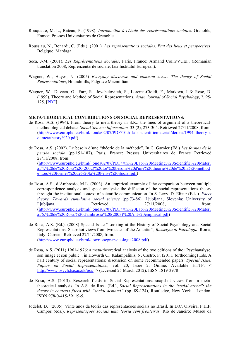- Rouquette, M.-L., Rateau, P. (1998). *Introduction à l'étude des représentations sociales*. Grenoble, France: Presses Universitaires de Grenoble.
- Roussiau, N., Bonardi, C. (Eds.). (2001). *Les représentations sociales. Etat des lieux et perspectives*. Belgique: Mardaga.
- Seca, J-M. (2001). *Les Représentations Sociales*. Paris, France: Armand Colin/VUEF. (Romanian translation 2008, Reprenzentarile sociale, Iasi Institutul European).
- Wagner, W., Hayes, N. (2005) *Everyday discourse and common sense. The theory of Social Representations*, Houndmills, Palgrave Macmillian.
- Wagner, W., Duveen, G., Farr, R., Jovchelovitch, S., Lorenzi-Cioldi, F., Markova, I & Rose, D. (1999). Theory and Method of Social Representations. *Asian Journal of Social Psychology*, 2, 95- 125. [PDF]

#### **META-THORETICAL CONTRIBUTIONS ON SOCIAL REPRESENTATIONS:**

- de Rosa, A.S. (1994). From theory to meta-theory in S.R.: the lines of argument of a theoreticalmethodological debate. *Social Science Information,* 33 (2), 273-304. Retrieved 27/11/2008, from: (http://www.europhd.eu/html/\_onda02/07/PDF/10th\_lab\_scientificmaterial/derosa/1994\_theory\_t o\_metatheory%20.pdf)
- de Rosa, A.S. (2002). Le besoin d'une "théorie de la méthode". In C. Garnier (Ed.) *Les formes de la pensée sociale* (pp.151-187). Paris, France: Presses Universitaires de France Retrieved 27/11/2008, from: (http://www.europhd.eu/html/\_onda02/07/PDF/7th%20Lab%20Meeting%20Scientific%20Materi al/4.%20de%20Rosa%20(2002)%20Le%20besoin%20d'une%20theorie%20de%20la%20method e\_Les%20formes%20de%20la%20Pense%20Social.pdf)
- de Rosa, A.S., d'Ambrosio, M.L. (2003). An empirical example of the comparison between multiple correspondence analysis and space analysis: the diffusion of the social representations theory throught the institutional context of scientific communication. In S. Levy, D. Elizur (Eds.). *Facet theory. Towards cumulative social science* (pp.73-86). Ljubljana, Slovenia: University of Liubliana. Retrieved 27/11/2008, from: (http://www.europhd.eu/html/\_onda02/07/PDF/7th%20Lab%20Meeting%20Scientific%20Materi al/6.%20de%20Rosa,%20d'ambrosio%20(2003)%20An%20empirical.pdf)
- de Rosa, A.S. (Ed.). (2008) Special Issue "Looking at the History of Social Psychology and Social Representations: Snapshot views from two sides of the Atlantic ", *Rassegna di Psicologia*, Roma, Italy: Carocci. Retrieved 27/11/2008, from: (http://www.europhd.eu/html/doc/rassegnapsicologia2008.pdf)
- de Rosa, A.S. (2011) 1961-1976: a meta-theoretical analysis of the two editions of the "Psychanalyse, son image et son public", in Howarth C., Kalampalikis, N. Castro, P. (2011, forthcoming) Eds. A half century of social representations: discussion on some recommended papers*, Special Issue, Papers on Social Representations*., vol. 20, Issue 2, Online. Available HTTP: < http://www.psych.lse.ac.uk/psr/  $>$  (accessed 25 March 2012). ISSN 1819-3978
- de Rosa, A.S. (2013). Research fields in Social Representations: snapshot views from a metatheoretical analysis. In A.S. de Rosa (Ed.), *Social Representations in the "social arena": the theory in contexts faced with "social demand"* (pp. 89-124), Routledge, New York – London. ISBN 978-0-415-59119-5.
- Jodelet, D. (2005). Vinte anos da teoria das representações sociais no Brasil. In D.C. Olveira, P.H.F. Campos (eds.), *Representações sociais uma teoria sem fronteiras*. Rio de Janeiro: Museu da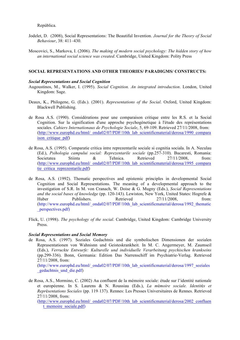República.

- Jodelet, D. (2008), Social Representations: The Beautiful Invention. *Journal for the Theory of Social Behaviour*, 38: 411–430.
- Moscovici, S., Markova, I. (2006). *The making of modern social psychology: The hidden story of how an international social science was created*. Cambridge, United Kingdom: Polity Press

#### **SOCIAL REPRESENTATIONS AND OTHER THEORIES/ PARADIGMS/ CONSTRUCTS:**

#### *Social Representations and Social Cognition*

- Augoustinos, M., Walker, I. (1995). *Social Cognition. An integrated introduction*. London, United Kingdom: Sage.
- Deaux, K., Philogene, G. (Eds.). (2001). *Representations of the Social*. Oxford, United Kingdom: Blackwell Publishing.
- de Rosa A.S. (1990). Considérations pour une comparaison critique entre les R.S. et la Social Cognition. Sur la signification d'une approche psychogénetique à l'étude des représentations sociales. *Cahiers Internationaux de Psychologie Sociale*, 5, 69-109. Retrieved 27/11/2008, from: (http://www.europhd.eu/html/\_onda02/07/PDF/10th\_lab\_scientificmaterial/derosa/1990\_compara ison critique pdf)
- de Rosa, A.S. (1995). Comparatie critica intre reprezentarile sociale si cognitia sociala. In A. Neculau (Ed.), *Psihologia campului social: Reprezentarile sociale* (pp.257-310). Bucaresti, Romania: Societatea Stiinta & Tehnica. Retrieved 27/11/2008, from: (http://www.europhd.eu/html/\_onda02/07/PDF/10th\_lab\_scientificmaterial/derosa/1995\_compara tie critica reprezentarile.pdf)
- de Rosa, A.S. (1992). Thematic perspectives and epistemic principles in developmental Social Cognition and Social Representations. The meaning of a developmental approach to the investigation of S.R. In M. von Cranach, W. Doise & G. Mugny (Eds.), *Social Representations and the social bases of knowledge* (pp. 120-143). Lewiston, New York, United States: Hogrefe & Huber Publishers. Retrieved 27/11/2008, from: (http://www.europhd.eu/html/\_onda02/07/PDF/10th\_lab\_scientificmaterial/derosa/1992\_thematic \_perspectives.pdf)
- Flick, U. (1998). *The psychology of the social*. Cambridge, United Kingdom: Cambridge University Press.

#### *Social Representations and Social Memory*

de Rosa, A.S. (1997). Soziales Gedachtnis und die symbolischen Dimensionen der sozialen Reprasentationen von Wahnisnn und Geisteskrankheit. In M. C. Angermeyer, M. Zaumseil (Eds.), *Verruckte Entwurfe: Kulturelle und individuelle Verarbeitung psychischen krankseins*  (pp.299-336). Bonn, Germania: Edition Das Narrenschiff im Psychiatrie-Verlag. Retrieved 27/11/2008, from:

(http://www.europhd.eu/html/\_onda02/07/PDF/10th\_lab\_scientificmaterial/derosa/1997\_soziales gedachtnis und die.pdf)

de Rosa, A.S., Mormino, C. (2002) Au confluent de la mémoire sociale: étude sur l'identité nationale et européenne. In S. Laurens & N. Roussiau (Eds.), *La m*é*moire sociale. Identit*é*s et Repr*é*sentations Sociales* (pp. 119-137). Rennes: Les Presses Universitaires de Rennes. Retrieved 27/11/2008, from:

(http://www.europhd.eu/html/\_onda02/07/PDF/10th\_lab\_scientificmaterial/derosa/2002\_confluen t\_memoire\_sociale.pdf)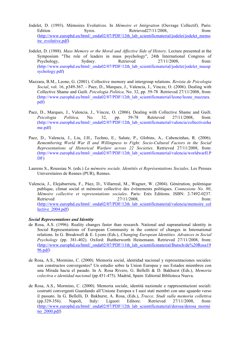- Jodelet, D. (1993). Mémoires Evolutives. In *Mémoire et Intégration* (Ouvrage Collectif). Paris: Edition Syros. Retrieved27/11/2008. From: (http://www.europhd.eu/html/\_onda02/07/PDF/12th\_lab\_scientificmaterial/jodelet/jodelet\_memo ire\_evolutive.pdf)
- Jodelet, D. (1988). *Mass Memory or the Moral and Affective Side of History*. Lecture presented at the Symposium "The role of leaders in mass psychology", 24th International Congress of Psychology, Sydney. Retrieved 27/11/2008, from: (http://www.europhd.eu/html/\_onda02/07/PDF/12th\_lab\_scientificmaterial/jodelet/jodelet\_massp sychology.pdf)
- Mazzara, B.M., Leone, G. (2001). Collective memory and intergroup relations. *Revista de Psicologia Social*, vol. 16, p349-367. - Paez, D., Marques, J., Valencia, J., Vincze, O. (2006). Dealing with Collective Shame and Guilt. *Psicologia Politica,* No. 32, pp. 59-78. Retrieved 27/11/2008, from: (http://www.europhd.eu/html/\_onda02/07/PDF/12th\_lab\_scientificmaterial/leone/leone\_mazzara. pdf)
- Paez, D., Marques, J., Valencia, J., Vincze, O. (2006). Dealing with Collective Shame and Guilt. *Psicologia Politica,* No. 32, pp. 59-78. Retrieved 27/11/2008, from: (http://www.europhd.eu/html/\_onda02/07/PDF/12th\_lab\_scientificmaterial/valencia/collectivesha me.pdf)
- Paez, D., Valencia, J., Liu, J.H., Techno, E., Salute, P., Globins, A., Cabencinhas, R. (2006). *Remembering World War II and Willingness to Fight: Socio-Cultural Factors in the Social Representations of Historical Warfare across 22 Societies*. Retrieved 27/11/2008, from: (http://www.europhd.eu/html/\_onda02/07/PDF/12th\_lab\_scientificmaterial/valencia/worldwarII.P DF)
- Laurens S., Roussiau N. (eds.) *La mémoire sociale. Identités et Représentations Sociales,* Les Presses Universitaires de Rennes (PUR), Rennes.
- Valencia, J., Elejabarrieta, F., Páez, D., Villarreal, M., Wagner, W. (2004). Génération, polémique publique, climat social et mémoire collective des événements politiques. *Connexions No. 80*, *Mémoire collective et representations sociales*. Paris: Erès Editions. ISBN: 2-7492-0237. Retrieved 27/11/2008, from: (http://www.europhd.eu/html/\_onda02/07/PDF/12th\_lab\_scientificmaterial/valencia/memoire\_col lective 2004.pdf)

#### *Social Representations and Identity*

- de Rosa, A.S. (1996). Reality changes faster than research. National and supranational identity in Social Representations of European Community in the context of changes in International relations. In G. Breakwell & E. Lyons (Eds.), *Changing European Identities. Advances in Social Psychology* (pp. 381-402). Oxford: Buttherworth Heinemann. Retrieved 27/11/2008, from: (http://www.europhd.eu/html/\_onda02/07/PDF/11th\_lab\_scientificmaterial/Butsch/de%20Rosa19 96.pdf)
- de Rosa, A.S., Mormino, C. (2000). Memoria social, identidad nacional y representaciones sociales: son constructos convergentes? Un estudio sobre la Union Europea y sus Estados miembros con una Mirada hacia el pasado. In A. Rosa Rivero, G. Bellelli & D. Bakhurst (Eds.), *Memoria colectiva e identidad nacional* (pp.451-475). Madrid, Spain: Editorial Biblioteca Nueva.
- de Rosa, A.S., Mormino, C. (2000). Memoria sociale, identità nazionale e rappresentazioni sociali: costrutti convergenti Guardando all'Unione Europea e I suoi stati membri con uno sguardo verso il passato. In G. Bellelli, D. Bakhurst, A. Rosa, (Eds.), *Tracce. Studi sulla memoria collettiva*  (pp.329-356). Napoli, Italy: Liguori Editore. Retrieved 27/11/2008, from: (http://www.europhd.eu/html/\_onda02/07/PDF/12th\_lab\_scientificmaterial/derosa/derosa\_mormi no\_2000.pdf)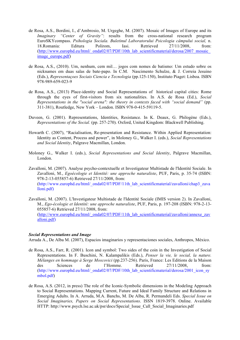- de Rosa, A.S., Bordini, I., d'Ambrosio, M. Urgeghe, M. (2007). Mosaic of Images of Europe and its *Imaginary "Center of Gravity"*: results from the cross-national research program EuroSKYcompass. *Psihologia Sociala. Buletinul Laboratorului Psicologia câmpului social,* n. 18.Romania: Editura Polirom, Iasi. Retrieved 27/11/2008, from: (http://www.europhd.eu/html/\_onda02/07/PDF/10th\_lab\_scientificmaterial/derosa/2007\_mosaic image\_europe.pdf)
- de Rosa, A.S., (2010). Um, nenhum, cem mil… jogos com nomes de batismo: Um estudo sobre os nicknames em duas salas de bate-papo. In C.M. Nascimento Schulze, & J. Correia Jesuino (Eds.), *Representaçoes Sociais Ciencia e Tecnologia* (pp.125-150), Instituto Piaget: Lisboa. ISBN 978-989-659-023-9
- de Rosa, A.S., (2013) Place-identity and Social Representations of historical capital cities: Rome through the eyes of first-visitors from six nationalities. In A.S. de Rosa (Ed.), *Social Representations in the "social arena": the theory in contexts faced with "social demand"* (pp. 311-381), Routledge, New York – London. ISBN 978-0-415-59119-5.
- Duveen, G. (2001). Representations, Identities, Resistance. In K. Deaux, G. Philogène (Eds.), *Representations of the Social.* (pp. 257-270). Oxford, United Kingdom: Blackwell Publishing.
- Howarth C. (2007), "Racialisation, Re-presentation and Resistance. Within Applied Representation: Identity as Content, Process and power", in Moloney G., Walker I. (eds.), *Social Representations and Social Identity*, Palgrave Macmillan, London.
- Moloney G., Walker I. (eds.), *Social Representations and Social Identity*, Palgrave Macmillan, London.

Zavalloni, M. (2007). Analyse psycho-contextuelle et Investigateur Multistade de l'Identité Sociale. In Zavalloni, M., *Egoécologie et Identité: une approche naturaliste*, PUF, Paris, p. 35-74 (ISBN: 978-2-13-055857-6) Retrieved 27/11/2008, from: (http://www.europhd.eu/html/\_onda02/07/PDF/11th\_lab\_scientificmaterial/zavalloni/chap3\_zava lloni.pdf)

Zavalloni, M. (2007). L'Investigateur Multistade de l'Identité Sociale (IMIS version 2). In Zavalloni, M., *Ego-écologie et Identité: une approche naturaliste*, PUF, Paris, p. 197-208 (ISBN: 978-2-13- 055857-6) Retrieved 27/11/2008, from: (http://www.europhd.eu/html/\_onda02/07/PDF/11th\_lab\_scientificmaterial/zavalloni/annexe\_zav alloni.pdf)

#### *Social Representations and Image*

Arruda A., De Alba M. (2007), Espacios imaginarios y representaciones sociales, Anthropos, México.

- de Rosa, A.S., Farr, R. (2001). Icon and symbol: Two sides of the coin in the Investigation of Social Representations. In F. Buschini, N. Kalampalikis (Eds.), *Penser la vie, le social, la nature. Mélanges en hommage à Serge Moscovici* (pp.237-256). Paris, France: Les Editions de la Maison des Sciences de l'Homme. Retrieved 27/11/2008, from: (http://www.europhd.eu/html/\_onda02/07/PDF/10th\_lab\_scientificmaterial/derosa/2001\_icon\_sy mbol.pdf)
- de Rosa, A.S. (2012, in press) The role of the Iconic-Symbolic dimensions in the Modeling Approach to Social Representations. Mapping Current, Future and Ideal Family Structure and Relations in Emerging Adults. In A. Arruda, M.A. Banchs, M. De Alba, R. Permandeli Eds. *Special Issue on Social Imaginaries, Papers on Social Representations*. ISSN 1819-3978. Online. Available HTTP: http://www.psych.lse.ac.uk/psr/docs/Special\_Issue\_Call\_Social\_Imaginaries.pdf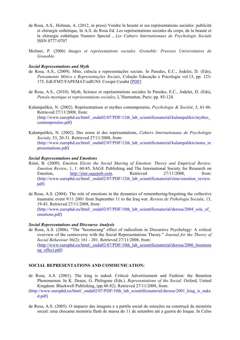- de Rosa, A.S., Holman, A. (2012, in press) Vendre la beauté et ses représentations sociales: publicité et chirurgie esthétique, In A.S. de Rosa Ed. Les représentations sociales du corps, de la beauté et la chirurgie esthétique Numero Special , *Les Cahiers Internationaux de Psychologie Sociale* ISSN 0777-0707
- Moliner, P. (2006) *Images et représentations sociales. Grenoble: Pressses Universitaires de Grenoble.*

#### *Social Representations and Myth*

- de Rosa, A.S., (2009). Mito, ciência e representações sociais. In Paredes, E.C., Jodelet, D. (Eds), *Pensamento Mítico e Representações Sociais*, Coleção Educação e Psicologia vol.13, pp. 123- 175. EdUFMT/FAPEMAT/edIUNI: Coxipó Cuiabá [PDF]
- de Rosa, A.S., (2010). Myth, Science et représentations sociales In Paredes, E.C., Jodelet, D. (Eds), *Pensée mystique et représentations sociales*, L'Harmattan, Paris: pp. 85-124.
- Kalampalikis, N. (2002). Représentations et mythes contemporains, *Psychologie & Société*, 5, 61-86. Retrieved 27/11/2008, from: (http://www.europhd.eu/html/\_onda02/07/PDF/12th\_lab\_scientificmaterial/kalampalikis/mythes\_ contemporains.pdf)
- Kalampalikis, N. (2002). Des noms et des représentations, *Cahiers Internationaux de Psychologie Sociale*, 53, 20-31. Retrieved 27/11/2008, from: (http://www.europhd.eu/html/\_onda02/07/PDF/12th\_lab\_scientificmaterial/kalampalikis/noms\_re presentations.pdf)

#### *Social Representations and Emotions*

- Rimé, B. (2009). *Emotion Elicits the Social Sharing of Emotion: Theory and Empirical Review, Emotion Review*, 1, 1: 60-85, SAGE Publishing and The International Society for Research on Emotion, http://emr.sagepub.com. Retrieved 27/11/2008, from: (http://www.europhd.eu/html/\_onda02/07/PDF/12th\_lab\_scientificmaterial/rime/emotion\_review. pdf)
- de Rosa, A.S. (2004). The role of emotions in the dynamics of remembering/forgetting the collective traumatic event 9/11 2001 from September 11 to the Iraq war. *Revista de Psihologia Sociala*, 13, 19-43. Retrieved 27/11/2008, from:

(http://www.europhd.eu/html/\_onda02/07/PDF/10th\_lab\_scientificmaterial/derosa/2004\_role\_of emotions.pdf)

#### *Social Representations and Discourse Analysis*

de Rosa, A.S. (2006). "The "boomerang" effect of radicalism in Discursive Psychology: A critical overview of the controversy with the Social Representations Theory." *Journal for the Theory of Social Behaviour* 36(2): 161 - 201. Retrieved 27/11/2008, from: (http://www.europhd.eu/html/\_onda02/07/PDF/10th\_lab\_scientificmaterial/derosa/2006\_boomera ng\_effect.pdf)

#### **SOCIAL REPRESENTATIONS AND COMMUNICATION:**

- de Rosa, A.S. (2001). The king is naked. Critical Advertisement and Fashion: the Benetton Phenomenon. In K. Deaux, G. Philogene (Eds.). *Representations of the Social*. Oxford, United Kingdom: Blackwell Publishing, (pp.48-82). Retrieved 27/11/2008, from:
- (http://www.europhd.eu/html/\_onda02/07/PDF/10th\_lab\_scientificmaterial/derosa/2001\_king\_is\_nake d.pdf)
- de Rosa, A.S. (2005). O impacto das imagens e a partila social de emoções na construçã da memória social: uma chocante memória flash de massa do 11 de setembro até a guerra do Iraque. In Celso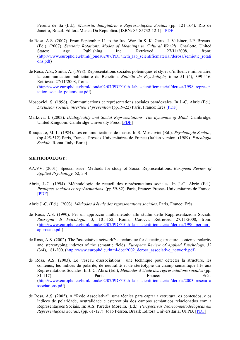Pereira de Sá (Ed.), *Memória, Imaginário e Representações Sociais* (pp. 121-164). Rio de Janeiro, Brazil: Editora Museu Da Republica. [ISBN: 85-85732-12-1]. [PDF]

- de Rosa, A.S. (2007). From September 11 to the Iraq War. In S. K. Gertz, J. Valsiner, J-P. Breaux, (Ed.). (2007). *Semiotic Rotations*. *Modes of Meanings in Cultural Worlds*. Charlotte, United States: Age Publishing Inc. Retrieved 27/11/2008, from: (http://www.europhd.eu/html/\_onda02/07/PDF/12th\_lab\_scientificmaterial/derosa/semiotic\_rotati ons.pdf)
- de Rosa, A.S., Smith, A. (1998). Représentations sociales polémiques et styles d'influence minoritaire, la communication publicitaire de Benetton. *Bulletin de Psychologie,* tome 51 (4), 399-416. Retrieved 27/11/2008, from: (http://www.europhd.eu/html/\_onda02/07/PDF/10th\_lab\_scientificmaterial/derosa/1998\_represen tation sociale polemique.pdf)
- Moscovici, S. (1996). Communications et représentations sociales paradoxales. In J.-C. Abric (Ed.). *Exclusion sociale, insertion et prevention* (pp.19-22) Paris, France: Érès [PDF]
- Markova, I. (2003). *Dialogicality and Social Representations. The dynamics of Mind*. Cambridge, United Kingdom: Cambridge University Press. [PDF]
- Rouquette, M.-L. (1984). Les communications de masse. In S. Moscovici (Ed.). *Psychologie Sociale*, (pp.495-512) Paris, France: Presses Universitaires de France (Italian version: (1989). *Psicologia Sociale*, Roma, Italy: Borla)

#### **METHODOLOGY:**

- AA.VV. (2001). Special issue: Methods for study of Social Representations. *European Review of Applied Psychology,* 52, 3-4.
- Abric, J.-C. (1994). Méthodologie de recueil des représentations sociales. In J.-C. Abric (Ed.). *Pratiques sociales et représentations*. (pp.59-82). Paris, France: Presses Universitaires de France. [PDF]
- Abric J.-C. (Ed.). (2003). *Méthodes d'étude des représentations sociales*. Paris, France: Erès.
- de Rosa, A.S. (1990). Per un approccio multi-metodo allo studio delle Rappresentazioni Sociali. *Rassegna di Psicologia*, 3, 101-152, Roma, Carocci. Retrieved 27/11/2008, from: (http://www.europhd.eu/html/\_onda02/07/PDF/10th\_lab\_scientificmaterial/derosa/1990\_per\_un\_ approccio.pdf)
- de Rosa, A.S. (2002). The "associative network": a technique for detecting structure, contents, polarity and stereotyping indexes of the semantic fields. *European Review of Applied Psychology*, *52*  (3/4), 181-200. (http://www.europhd.eu/html/doc/2002\_derosa\_associative\_network.pdf)
- de Rosa, A.S. (2003). Le "réseau d'associations": une technique pour détecter la structure, les contenus, les indices de polarité, de neutralité et de stéréotypie du champ sémantique liés aux Représentations Sociales. In J. C. Abric (Ed.), *Méthodes d'étude des représentations sociales* (pp. 81-117). Paris, Paris, France: Erès. (http://www.europhd.eu/html/\_onda02/07/PDF/10th\_lab\_scientificmaterial/derosa/2003\_reseau\_a ssociations.pdf)
- de Rosa, A.S. (2005). A "Rede Associativa": uma técnica para captar a estrutura, os conteùdos, e os ìndices de polaridade, neutralidade e estereotipia dos campos semànticos relacionados com a Representações Sociais. In: A.S. Paredes Moreira, (Ed.). *Perspectivas Teorico-metodològicas em Representações Sociais*, (pp. 61-127). João Pessoa, Brazil: Editora Universitária, UFPB. [PDF]